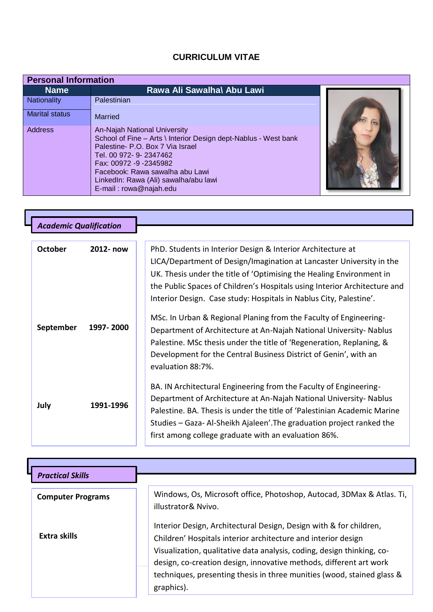## **CURRICULUM VITAE**

| <b>Personal Information</b> |                                                                                                                                                                                                                                                                                                |  |
|-----------------------------|------------------------------------------------------------------------------------------------------------------------------------------------------------------------------------------------------------------------------------------------------------------------------------------------|--|
| <b>Name</b>                 | Rawa Ali Sawalha\ Abu Lawi                                                                                                                                                                                                                                                                     |  |
| <b>Nationality</b>          | Palestinian                                                                                                                                                                                                                                                                                    |  |
| <b>Marital status</b>       | <b>Married</b>                                                                                                                                                                                                                                                                                 |  |
| <b>Address</b>              | An-Najah National University<br>School of Fine - Arts \ Interior Design dept-Nablus - West bank<br>Palestine- P.O. Box 7 Via Israel<br>Tel. 00 972- 9- 2347462<br>Fax: 00972 -9 -2345982<br>Facebook: Rawa sawalha abu Lawi<br>LinkedIn: Rawa (Ali) sawalha/abu lawi<br>E-mail: rowa@najah.edu |  |

L

| <b>Academic Qualification</b> |           |                                                                                                                                                                                                                                                                                                                                                                |
|-------------------------------|-----------|----------------------------------------------------------------------------------------------------------------------------------------------------------------------------------------------------------------------------------------------------------------------------------------------------------------------------------------------------------------|
|                               |           |                                                                                                                                                                                                                                                                                                                                                                |
| <b>October</b>                | 2012- now | PhD. Students in Interior Design & Interior Architecture at<br>LICA/Department of Design/Imagination at Lancaster University in the<br>UK. Thesis under the title of 'Optimising the Healing Environment in<br>the Public Spaces of Children's Hospitals using Interior Architecture and<br>Interior Design. Case study: Hospitals in Nablus City, Palestine'. |
| September                     | 1997-2000 | MSc. In Urban & Regional Planing from the Faculty of Engineering-<br>Department of Architecture at An-Najah National University- Nablus<br>Palestine. MSc thesis under the title of 'Regeneration, Replaning, &<br>Development for the Central Business District of Genin', with an<br>evaluation 88:7%.                                                       |
| July                          | 1991-1996 | BA. IN Architectural Engineering from the Faculty of Engineering-<br>Department of Architecture at An-Najah National University- Nablus<br>Palestine. BA. Thesis is under the title of 'Palestinian Academic Marine<br>Studies – Gaza- Al-Sheikh Ajaleen'. The graduation project ranked the<br>first among college graduate with an evaluation 86%.           |

| <b>Practical Skills</b>  |                                                                                                                                                                                                                                                                                                                                                                             |
|--------------------------|-----------------------------------------------------------------------------------------------------------------------------------------------------------------------------------------------------------------------------------------------------------------------------------------------------------------------------------------------------------------------------|
| <b>Computer Programs</b> | Windows, Os, Microsoft office, Photoshop, Autocad, 3DMax & Atlas. Ti,<br>illustrator& Nvivo.                                                                                                                                                                                                                                                                                |
| Extra skills             | Interior Design, Architectural Design, Design with & for children,<br>Children' Hospitals interior architecture and interior design<br>Visualization, qualitative data analysis, coding, design thinking, co-<br>design, co-creation design, innovative methods, different art work<br>techniques, presenting thesis in three munities (wood, stained glass &<br>graphics). |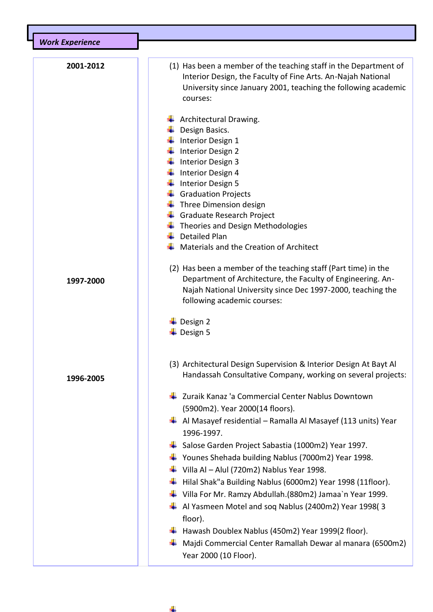| <b>Work Experience</b> |                                                                                                                                                                                                                                                                                                                                                                                                                                                                                                                                                                                                         |
|------------------------|---------------------------------------------------------------------------------------------------------------------------------------------------------------------------------------------------------------------------------------------------------------------------------------------------------------------------------------------------------------------------------------------------------------------------------------------------------------------------------------------------------------------------------------------------------------------------------------------------------|
| 2001-2012              | (1) Has been a member of the teaching staff in the Department of<br>Interior Design, the Faculty of Fine Arts. An-Najah National<br>University since January 2001, teaching the following academic<br>courses:                                                                                                                                                                                                                                                                                                                                                                                          |
|                        | Architectural Drawing.<br>Design Basics.<br>Interior Design 1<br>Interior Design 2<br>Interior Design 3<br>Interior Design 4<br>Interior Design 5<br><b>Graduation Projects</b><br>Three Dimension design<br>Graduate Research Project<br>Theories and Design Methodologies                                                                                                                                                                                                                                                                                                                             |
|                        | <b>Detailed Plan</b><br>Materials and the Creation of Architect                                                                                                                                                                                                                                                                                                                                                                                                                                                                                                                                         |
|                        |                                                                                                                                                                                                                                                                                                                                                                                                                                                                                                                                                                                                         |
| 1997-2000              | (2) Has been a member of the teaching staff (Part time) in the<br>Department of Architecture, the Faculty of Engineering. An-<br>Najah National University since Dec 1997-2000, teaching the<br>following academic courses:                                                                                                                                                                                                                                                                                                                                                                             |
|                        | Design 2<br>Design 5                                                                                                                                                                                                                                                                                                                                                                                                                                                                                                                                                                                    |
| 1996-2005              | (3) Architectural Design Supervision & Interior Design At Bayt Al<br>Handassah Consultative Company, working on several projects:                                                                                                                                                                                                                                                                                                                                                                                                                                                                       |
|                        | ↓ Zuraik Kanaz 'a Commercial Center Nablus Downtown<br>(5900m2). Year 2000(14 floors).<br>$\downarrow$ Al Masayef residential – Ramalla Al Masayef (113 units) Year<br>1996-1997.<br>↓ Salose Garden Project Sabastia (1000m2) Year 1997.<br>$\downarrow$ Younes Shehada building Nablus (7000m2) Year 1998.<br>$\downarrow$ Villa Al – Alul (720m2) Nablus Year 1998.<br>$\ddot{+}$ Hilal Shak"a Building Nablus (6000m2) Year 1998 (11floor).<br>$\downarrow$ Villa For Mr. Ramzy Abdullah.(880m2) Jamaa`n Year 1999.<br>$\downarrow$ Al Yasmeen Motel and soq Nablus (2400m2) Year 1998(3<br>floor). |
|                        | $\ddot{*}$ Hawash Doublex Nablus (450m2) Year 1999(2 floor).<br>Majdi Commercial Center Ramallah Dewar al manara (6500m2)<br>Year 2000 (10 Floor).                                                                                                                                                                                                                                                                                                                                                                                                                                                      |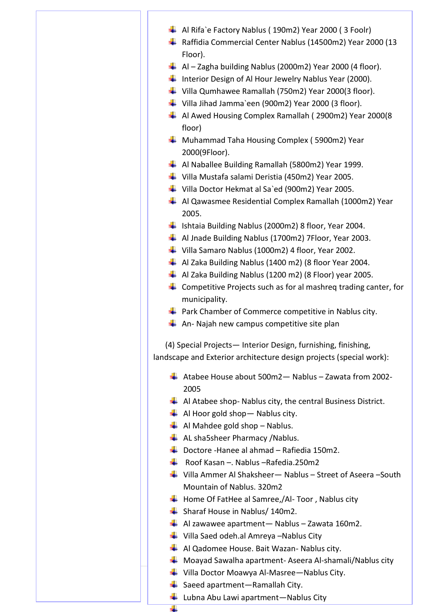- Al Rifa`e Factory Nablus ( 190m2) Year 2000 ( 3 Foolr)
- ↓ Raffidia Commercial Center Nablus (14500m2) Year 2000 (13 Floor).
- $\downarrow$  Al Zagha building Nablus (2000m2) Year 2000 (4 floor).
- Interior Design of Al Hour Jewelry Nablus Year (2000).
- ↓ Villa Qumhawee Ramallah (750m2) Year 2000(3 floor).
- ↓ Villa Jihad Jamma`een (900m2) Year 2000 (3 floor).
- $\frac{1}{2}$  Al Awed Housing Complex Ramallah (2900m2) Year 2000(8 floor)
- **Wahammad Taha Housing Complex (5900m2) Year** 2000(9Floor).
- Al Naballee Building Ramallah (5800m2) Year 1999.
- Villa Mustafa salami Deristia (450m2) Year 2005.
- ↓ Villa Doctor Hekmat al Sa`ed (900m2) Year 2005.
- Al Qawasmee Residential Complex Ramallah (1000m2) Year 2005.
- Ishtaia Building Nablus (2000m2) 8 floor, Year 2004.
- Al Jnade Building Nablus (1700m2) 7Floor, Year 2003.
- Villa Samaro Nablus (1000m2) 4 floor, Year 2002.
- $\downarrow$  Al Zaka Building Nablus (1400 m2) (8 floor Year 2004.
- $\downarrow$  Al Zaka Building Nablus (1200 m2) (8 Floor) year 2005.
- $\downarrow$  Competitive Projects such as for al mashreq trading canter, for municipality.
- $\downarrow$  Park Chamber of Commerce competitive in Nablus city.
- $\leftarrow$  An- Najah new campus competitive site plan

 (4) Special Projects— Interior Design, furnishing, finishing, landscape and Exterior architecture design projects (special work):

- $\overline{+}$  Atabee House about 500m2 Nablus Zawata from 2002-2005
- $\downarrow$  Al Atabee shop- Nablus city, the central Business District.
- $\overline{\phantom{a}}$  Al Hoor gold shop Nablus city.
- $\downarrow$  Al Mahdee gold shop Nablus.
- $\triangleq$  AL sha5sheer Pharmacy /Nablus.
- $\downarrow$  Doctore -Hanee al ahmad Rafiedia 150m2.
- Roof Kasan –. Nablus –Rafedia.250m2
- Villa Ammer Al Shaksheer— Nablus Street of Aseera –South Mountain of Nablus. 320m2
- $\overline{\phantom{a}}$  Home Of FatHee al Samree,/Al-Toor, Nablus city
- $\frac{1}{\sqrt{1}}$  Sharaf House in Nablus/ 140m2.
- $\overline{\phantom{a}+}$  Al zawawee apartment— Nablus Zawata 160m2.
- $\downarrow$  Villa Saed odeh.al Amreya –Nablus City
- $\overline{\phantom{a}}$  Al Qadomee House. Bait Wazan- Nablus city.
- $\downarrow$  Moayad Sawalha apartment-Aseera Al-shamali/Nablus city
- ↓ Villa Doctor Moawya Al-Masree—Nablus City.
- $\overline{\phantom{a}}$  Saeed apartment—Ramallah City.

÷

 $\downarrow$  Lubna Abu Lawi apartment—Nablus City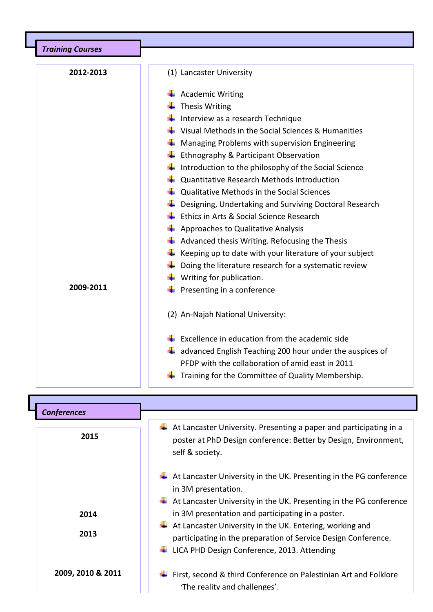| <b>Training Courses</b> |                                                                        |
|-------------------------|------------------------------------------------------------------------|
|                         |                                                                        |
| 2012-2013               | (1) Lancaster University                                               |
|                         | $\leftarrow$ Academic Writing                                          |
|                         | Thesis Writing                                                         |
|                         | Interview as a research Technique                                      |
|                         | Visual Methods in the Social Sciences & Humanities                     |
|                         | Managing Problems with supervision Engineering                         |
|                         | Ethnography & Participant Observation                                  |
|                         | Introduction to the philosophy of the Social Science                   |
|                         | Quantitative Research Methods Introduction                             |
|                         | Qualitative Methods in the Social Sciences                             |
|                         | Designing, Undertaking and Surviving Doctoral Research                 |
|                         | Ethics in Arts & Social Science Research                               |
|                         | Approaches to Qualitative Analysis                                     |
|                         | Advanced thesis Writing. Refocusing the Thesis                         |
|                         | Keeping up to date with your literature of your subject                |
|                         | Doing the literature research for a systematic review                  |
| 2009-2011               | $\downarrow$ Writing for publication.                                  |
|                         | Presenting in a conference                                             |
|                         | (2) An-Najah National University:                                      |
|                         | Excellence in education from the academic side                         |
|                         | $\frac{1}{2}$ advanced English Teaching 200 hour under the auspices of |
|                         | PFDP with the collaboration of amid east in 2011                       |
|                         | Training for the Committee of Quality Membership.                      |

 $Conferences$  $\downarrow$  At Lancaster University. Presenting a paper and participating in a poster at PhD Design conference: Better by Design, Environment, self & society.  $\frac{1}{2}$  At Lancaster University in the UK. Presenting in the PG conference in 3M presentation.  $\frac{1}{2}$  At Lancaster University in the UK. Presenting in the PG conference in 3M presentation and participating in a poster.  $\overline{\phantom{a} \bullet}$  At Lancaster University in the UK. Entering, working and participating in the preparation of Service Design Conference. LICA PHD Design Conference, 2013. Attending  $\overline{\textbf{F}}$  First, second & third Conference on Palestinian Art and Folklore 'The reality and challenges'.  **2015 2014 2013 2009, 2010 & 2011**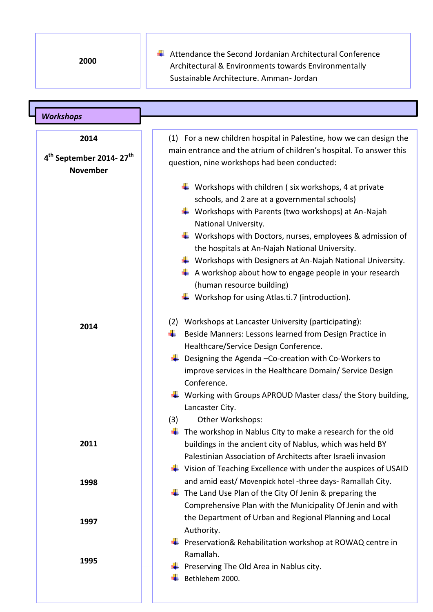**2000**

 $\overline{\phantom{a} \bullet}$  Attendance the Second Jordanian Architectural Conference Architectural & Environments towards Environmentally Sustainable Architecture. Amman- Jordan

| <b>Workshops</b>                                                           |                                                                                                                                                                                                                                                                                                                                                                                                                                                                                                                                                                                                                                       |
|----------------------------------------------------------------------------|---------------------------------------------------------------------------------------------------------------------------------------------------------------------------------------------------------------------------------------------------------------------------------------------------------------------------------------------------------------------------------------------------------------------------------------------------------------------------------------------------------------------------------------------------------------------------------------------------------------------------------------|
|                                                                            |                                                                                                                                                                                                                                                                                                                                                                                                                                                                                                                                                                                                                                       |
| 2014<br>4 <sup>th</sup> September 2014-27 <sup>th</sup><br><b>November</b> | (1) For a new children hospital in Palestine, how we can design the<br>main entrance and the atrium of children's hospital. To answer this<br>question, nine workshops had been conducted:                                                                                                                                                                                                                                                                                                                                                                                                                                            |
| 2014                                                                       | $\frac{1}{2}$ Workshops with children (six workshops, 4 at private<br>schools, and 2 are at a governmental schools)<br>$\frac{1}{2}$ Workshops with Parents (two workshops) at An-Najah<br>National University.<br>$\downarrow$ Workshops with Doctors, nurses, employees & admission of<br>the hospitals at An-Najah National University.<br>$\frac{1}{2}$ Workshops with Designers at An-Najah National University.<br>A workshop about how to engage people in your research<br>(human resource building)<br>$\frac{1}{2}$ Workshop for using Atlas.ti.7 (introduction).<br>(2) Workshops at Lancaster University (participating): |
|                                                                            | Beside Manners: Lessons learned from Design Practice in<br>Healthcare/Service Design Conference.<br>Designing the Agenda - Co-creation with Co-Workers to<br>improve services in the Healthcare Domain/ Service Design<br>Conference.<br>$\frac{1}{2}$ Working with Groups APROUD Master class/ the Story building,<br>Lancaster City.<br>(3)<br>Other Workshops:<br>The workshop in Nablus City to make a research for the old                                                                                                                                                                                                       |
| 2011                                                                       | buildings in the ancient city of Nablus, which was held BY<br>Palestinian Association of Architects after Israeli invasion<br>$\ddot{\bullet}$ Vision of Teaching Excellence with under the auspices of USAID                                                                                                                                                                                                                                                                                                                                                                                                                         |
| 1998                                                                       | and amid east/ Movenpick hotel -three days- Ramallah City.<br>The Land Use Plan of the City Of Jenin & preparing the<br>Comprehensive Plan with the Municipality Of Jenin and with<br>the Department of Urban and Regional Planning and Local                                                                                                                                                                                                                                                                                                                                                                                         |
| 1997<br>1995                                                               | Authority.<br>Preservation& Rehabilitation workshop at ROWAQ centre in<br>Ramallah.                                                                                                                                                                                                                                                                                                                                                                                                                                                                                                                                                   |
|                                                                            | Preserving The Old Area in Nablus city.<br>Bethlehem 2000.                                                                                                                                                                                                                                                                                                                                                                                                                                                                                                                                                                            |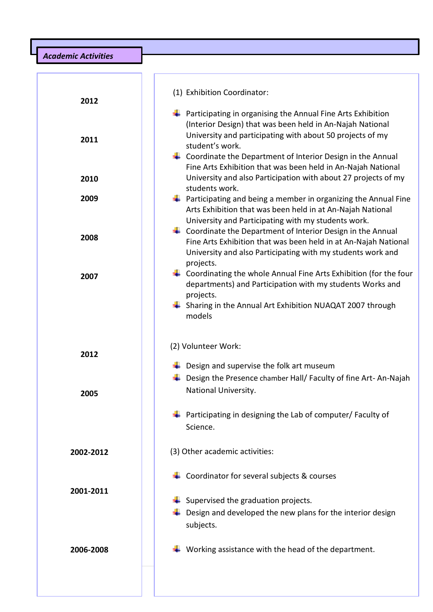*Academic Activities Academic Qualification*

| 2012<br>2011 | (1) Exhibition Coordinator:<br>$\ddag$ Participating in organising the Annual Fine Arts Exhibition<br>(Interior Design) that was been held in An-Najah National<br>University and participating with about 50 projects of my<br>student's work.<br>$\downarrow$ Coordinate the Department of Interior Design in the Annual<br>Fine Arts Exhibition that was been held in An-Najah National |
|--------------|--------------------------------------------------------------------------------------------------------------------------------------------------------------------------------------------------------------------------------------------------------------------------------------------------------------------------------------------------------------------------------------------|
| 2010         | University and also Participation with about 27 projects of my                                                                                                                                                                                                                                                                                                                             |
| 2009         | students work.<br>$\ddot{\phantom{1}}$ Participating and being a member in organizing the Annual Fine<br>Arts Exhibition that was been held in at An-Najah National<br>University and Participating with my students work.                                                                                                                                                                 |
| 2008         | $\downarrow$ Coordinate the Department of Interior Design in the Annual<br>Fine Arts Exhibition that was been held in at An-Najah National<br>University and also Participating with my students work and                                                                                                                                                                                  |
| 2007         | projects.<br>$\downarrow$ Coordinating the whole Annual Fine Arts Exhibition (for the four<br>departments) and Participation with my students Works and<br>projects.<br>$\frac{1}{2}$ Sharing in the Annual Art Exhibition NUAQAT 2007 through<br>models                                                                                                                                   |
| 2012         | (2) Volunteer Work:<br>$\frac{1}{2}$ Design and supervise the folk art museum                                                                                                                                                                                                                                                                                                              |
| 2005         | Design the Presence chamber Hall/ Faculty of fine Art-An-Najah<br>National University.                                                                                                                                                                                                                                                                                                     |
|              | Participating in designing the Lab of computer/ Faculty of<br>Science.                                                                                                                                                                                                                                                                                                                     |
| 2002-2012    | (3) Other academic activities:                                                                                                                                                                                                                                                                                                                                                             |
| 2001-2011    | Coordinator for several subjects & courses<br>Supervised the graduation projects.<br>Design and developed the new plans for the interior design<br>subjects.                                                                                                                                                                                                                               |
| 2006-2008    | Working assistance with the head of the department.                                                                                                                                                                                                                                                                                                                                        |